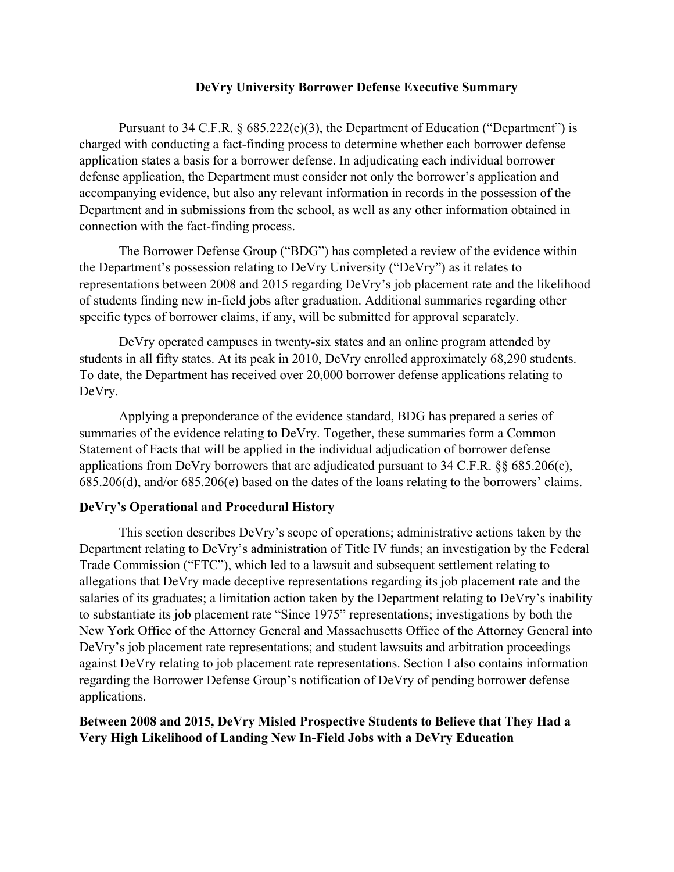## **DeVry University Borrower Defense Executive Summary**

Pursuant to 34 C.F.R.  $\S 685.222(e)(3)$ , the Department of Education ("Department") is charged with conducting a fact-finding process to determine whether each borrower defense application states a basis for a borrower defense. In adjudicating each individual borrower defense application, the Department must consider not only the borrower's application and accompanying evidence, but also any relevant information in records in the possession of the Department and in submissions from the school, as well as any other information obtained in connection with the fact-finding process.

The Borrower Defense Group ("BDG") has completed a review of the evidence within the Department's possession relating to DeVry University ("DeVry") as it relates to representations between 2008 and 2015 regarding DeVry's job placement rate and the likelihood of students finding new in-field jobs after graduation. Additional summaries regarding other specific types of borrower claims, if any, will be submitted for approval separately.

DeVry operated campuses in twenty-six states and an online program attended by students in all fifty states. At its peak in 2010, DeVry enrolled approximately 68,290 students. To date, the Department has received over 20,000 borrower defense applications relating to DeVry.

Applying a preponderance of the evidence standard, BDG has prepared a series of summaries of the evidence relating to DeVry. Together, these summaries form a Common Statement of Facts that will be applied in the individual adjudication of borrower defense applications from DeVry borrowers that are adjudicated pursuant to 34 C.F.R. §§ 685.206(c), 685.206(d), and/or 685.206(e) based on the dates of the loans relating to the borrowers' claims.

## **DeVry's Operational and Procedural History**

This section describes DeVry's scope of operations; administrative actions taken by the Department relating to DeVry's administration of Title IV funds; an investigation by the Federal Trade Commission ("FTC"), which led to a lawsuit and subsequent settlement relating to allegations that DeVry made deceptive representations regarding its job placement rate and the salaries of its graduates; a limitation action taken by the Department relating to DeVry's inability to substantiate its job placement rate "Since 1975" representations; investigations by both the New York Office of the Attorney General and Massachusetts Office of the Attorney General into DeVry's job placement rate representations; and student lawsuits and arbitration proceedings against DeVry relating to job placement rate representations. Section I also contains information regarding the Borrower Defense Group's notification of DeVry of pending borrower defense applications.

## **Between 2008 and 2015, DeVry Misled Prospective Students to Believe that They Had a Very High Likelihood of Landing New In-Field Jobs with a DeVry Education**